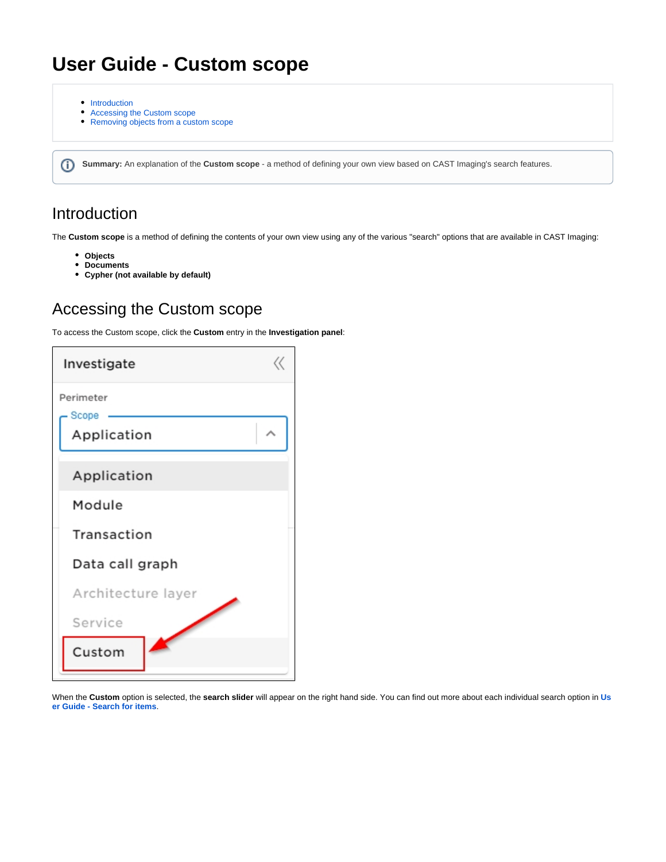# **User Guide - Custom scope**

- [Introduction](#page-0-0)
- [Accessing the Custom scope](#page-0-1)
- [Removing objects from a custom scope](#page-1-0)

**Summary:** An explanation of the **Custom scope** - a method of defining your own view based on CAST Imaging's search features.

## <span id="page-0-0"></span>Introduction

⋒

The **Custom scope** is a method of defining the contents of your own view using any of the various "search" options that are available in CAST Imaging:

- **Objects**
- **Documents**
- **Cypher (not available by default)**

## <span id="page-0-1"></span>Accessing the Custom scope

To access the Custom scope, click the **Custom** entry in the **Investigation panel**:

| Investigate        |  |
|--------------------|--|
| Perimeter<br>Scope |  |
| Application        |  |
| Application        |  |
| Module             |  |
| Transaction        |  |
| Data call graph    |  |
| Architecture layer |  |
| Service            |  |
| Custom             |  |

When the **Custom** option is selected, the **search slider** will appear on the right hand side. You can find out more about each individual search option in **[Us](https://doc.castsoftware.com/display/IMAGING/User+Guide+-+Search+for+items) [er Guide - Search for items](https://doc.castsoftware.com/display/IMAGING/User+Guide+-+Search+for+items)**.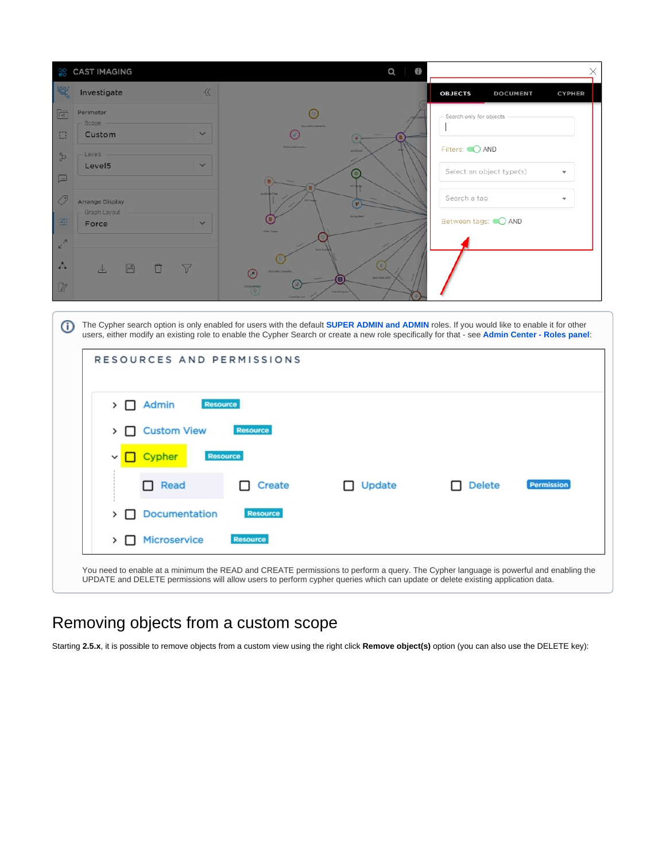

#### The Cypher search option is only enabled for users with the default **[SUPER ADMIN and ADMIN](https://doc.castsoftware.com/display/IMAGING/Admin+Center+-+Roles+panel)** roles. If you would like to enable it for other ⊕ users, either modify an existing role to enable the Cypher Search or create a new role specifically for that - see **[Admin Center - Roles panel](https://doc.castsoftware.com/display/IMAGING/Admin+Center+-+Roles+panel)**: RESOURCES AND PERMISSIONS  $\sum$  Admin Resource > Custom View Resource Cypher **Resource**  $\Box$  Read Update Delete □ Create Permission > O Documentation **Resource**  $\triangleright$   $\Box$  Microservice You need to enable at a minimum the READ and CREATE permissions to perform a query. The Cypher language is powerful and enabling the UPDATE and DELETE permissions will allow users to perform cypher queries which can update or delete existing application data.

## <span id="page-1-0"></span>Removing objects from a custom scope

Starting **2.5.x**, it is possible to remove objects from a custom view using the right click **Remove object(s)** option (you can also use the DELETE key):